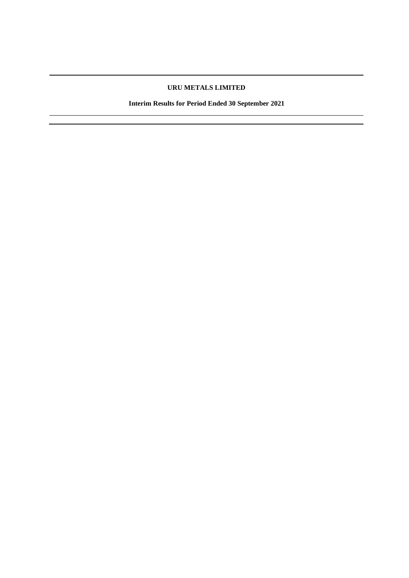# **URU METALS LIMITED**

**Interim Results for Period Ended 30 September 2021**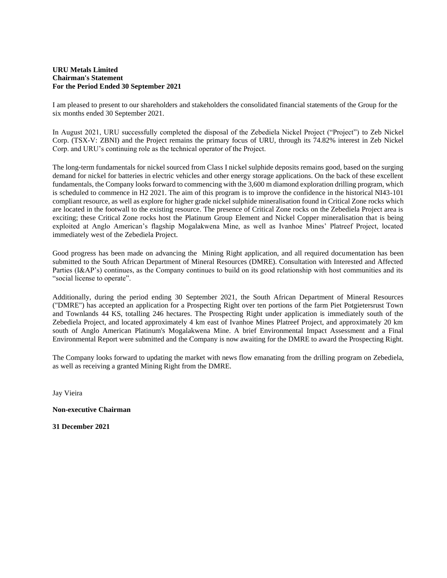## **URU Metals Limited Chairman's Statement For the Period Ended 30 September 2021**

I am pleased to present to our shareholders and stakeholders the consolidated financial statements of the Group for the six months ended 30 September 2021.

In August 2021, URU successfully completed the disposal of the Zebediela Nickel Project ("Project") to Zeb Nickel Corp. (TSX-V: ZBNI) and the Project remains the primary focus of URU, through its 74.82% interest in Zeb Nickel Corp. and URU's continuing role as the technical operator of the Project.

The long-term fundamentals for nickel sourced from Class I nickel sulphide deposits remains good, based on the surging demand for nickel for batteries in electric vehicles and other energy storage applications. On the back of these excellent fundamentals, the Company looks forward to commencing with the 3,600 m diamond exploration drilling program, which is scheduled to commence in H2 2021. The aim of this program is to improve the confidence in the historical NI43-101 compliant resource, as well as explore for higher grade nickel sulphide mineralisation found in Critical Zone rocks which are located in the footwall to the existing resource. The presence of Critical Zone rocks on the Zebediela Project area is exciting; these Critical Zone rocks host the Platinum Group Element and Nickel Copper mineralisation that is being exploited at Anglo American's flagship Mogalakwena Mine, as well as Ivanhoe Mines' Platreef Project, located immediately west of the Zebediela Project.

Good progress has been made on advancing the Mining Right application, and all required documentation has been submitted to the South African Department of Mineral Resources (DMRE). Consultation with Interested and Affected Parties (I&AP's) continues, as the Company continues to build on its good relationship with host communities and its "social license to operate".

Additionally, during the period ending 30 September 2021, the South African Department of Mineral Resources ("DMRE") has accepted an application for a Prospecting Right over ten portions of the farm Piet Potgietersrust Town and Townlands 44 KS, totalling 246 hectares. The Prospecting Right under application is immediately south of the Zebediela Project, and located approximately 4 km east of Ivanhoe Mines Platreef Project, and approximately 20 km south of Anglo American Platinum's Mogalakwena Mine. A brief Environmental Impact Assessment and a Final Environmental Report were submitted and the Company is now awaiting for the DMRE to award the Prospecting Right.

The Company looks forward to updating the market with news flow emanating from the drilling program on Zebediela, as well as receiving a granted Mining Right from the DMRE.

Jay Vieira

**Non-executive Chairman** 

**31 December 2021**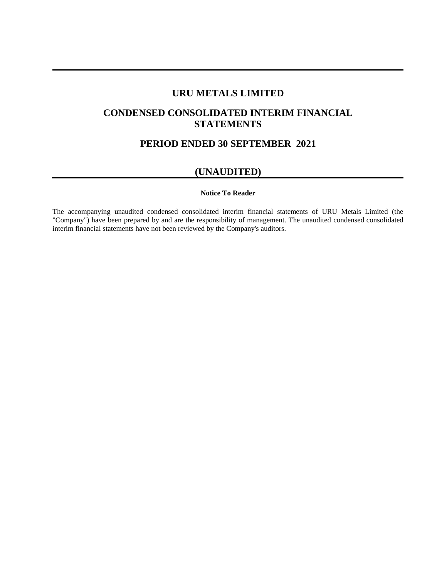# **URU METALS LIMITED**

# **CONDENSED CONSOLIDATED INTERIM FINANCIAL STATEMENTS**

# **PERIOD ENDED 30 SEPTEMBER 2021**

# **(UNAUDITED)**

## **Notice To Reader**

The accompanying unaudited condensed consolidated interim financial statements of URU Metals Limited (the "Company") have been prepared by and are the responsibility of management. The unaudited condensed consolidated interim financial statements have not been reviewed by the Company's auditors.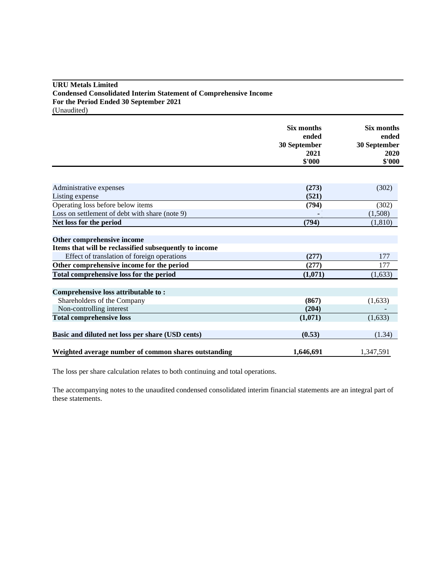# **URU Metals Limited Condensed Consolidated Interim Statement of Comprehensive Income For the Period Ended 30 September 2021** (Unaudited)

**Six months Six months ended ended 30 September 30 September 2021 2020 \$'000 \$'000** Administrative expenses **(273)** (302) Listing expense **(521) (521)** Operating loss before below items **(794)** (302) Loss on settlement of debt with share (note 9) **a**  $(1,508)$  **c**  $(1,508)$ **Net loss for the period** (794) (1,810) **Other comprehensive income Items that will be reclassified subsequently to income** Effect of translation of foreign operations **(277)** 177 **Other comprehensive income for the period** (277) 177 Total comprehensive loss for the period  $(1,071)$   $(1,633)$ **Comprehensive loss attributable to :** Shareholders of the Company **(867)** (1,633) Non-controlling interest (204) **Total comprehensive loss** (1,633) (1,633) **Basic and diluted net loss per share (USD cents)** (0.53) (1.34) **Weighted average number of common shares outstanding 1,646,691** 1,347,591

The loss per share calculation relates to both continuing and total operations.

The accompanying notes to the unaudited condensed consolidated interim financial statements are an integral part of these statements.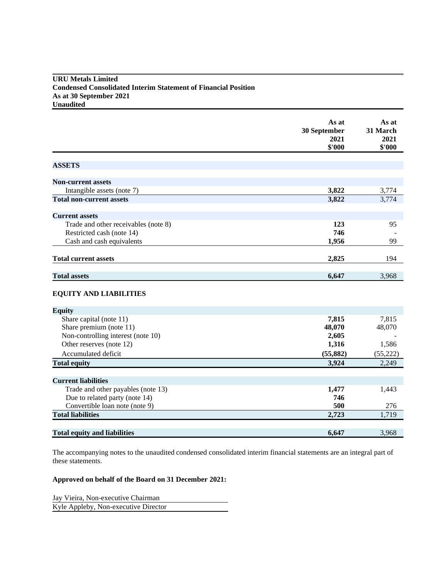# **URU Metals Limited Condensed Consolidated Interim Statement of Financial Position As at 30 September 2021 Unaudited**

|                                      | As at<br>30 September<br>2021<br>\$'000 | As at<br>31 March<br>2021<br>\$'000 |
|--------------------------------------|-----------------------------------------|-------------------------------------|
|                                      |                                         |                                     |
| <b>ASSETS</b>                        |                                         |                                     |
| <b>Non-current assets</b>            |                                         |                                     |
| Intangible assets (note 7)           | 3,822                                   | 3,774                               |
| <b>Total non-current assets</b>      | 3,822                                   | 3,774                               |
|                                      |                                         |                                     |
| <b>Current assets</b>                |                                         |                                     |
| Trade and other receivables (note 8) | 123                                     | 95                                  |
| Restricted cash (note 14)            | 746                                     |                                     |
| Cash and cash equivalents            | 1,956                                   | 99                                  |
| <b>Total current assets</b>          | 2,825                                   | 194                                 |
| <b>Total assets</b>                  | 6,647                                   | 3,968                               |

# **EQUITY AND LIABILITIES**

| <b>Equity</b>                       |           |           |
|-------------------------------------|-----------|-----------|
| Share capital (note 11)             | 7,815     | 7,815     |
| Share premium (note 11)             | 48,070    | 48,070    |
| Non-controlling interest (note 10)  | 2,605     |           |
| Other reserves (note 12)            | 1,316     | 1,586     |
| Accumulated deficit                 | (55, 882) | (55, 222) |
| <b>Total equity</b>                 | 3,924     | 2,249     |
|                                     |           |           |
| <b>Current liabilities</b>          |           |           |
| Trade and other payables (note 13)  | 1,477     | 1,443     |
| Due to related party (note 14)      | 746       |           |
| Convertible loan note (note 9)      | 500       | 276       |
| <b>Total liabilities</b>            | 2,723     | 1,719     |
|                                     |           |           |
| <b>Total equity and liabilities</b> | 6,647     | 3,968     |

The accompanying notes to the unaudited condensed consolidated interim financial statements are an integral part of these statements.

# **Approved on behalf of the Board on 31 December 2021:**

Jay Vieira, Non-executive Chairman Kyle Appleby, Non-executive Director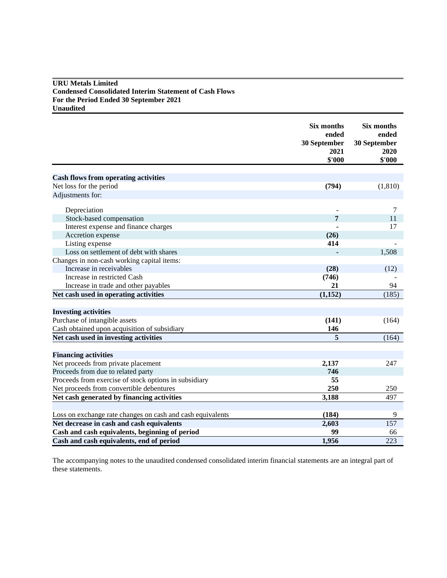# **URU Metals Limited Condensed Consolidated Interim Statement of Cash Flows For the Period Ended 30 September 2021 Unaudited**

|                                                            | Six months<br>ended<br>30 September<br>2021<br>\$'000 | Six months<br>ended<br>30 September<br>2020<br>\$'000 |
|------------------------------------------------------------|-------------------------------------------------------|-------------------------------------------------------|
|                                                            |                                                       |                                                       |
| <b>Cash flows from operating activities</b>                |                                                       |                                                       |
| Net loss for the period                                    | (794)                                                 | (1, 810)                                              |
| Adjustments for:                                           |                                                       |                                                       |
| Depreciation                                               |                                                       | 7                                                     |
| Stock-based compensation                                   | 7                                                     | 11                                                    |
| Interest expense and finance charges                       |                                                       | 17                                                    |
| Accretion expense                                          | (26)                                                  |                                                       |
| Listing expense                                            | 414                                                   |                                                       |
| Loss on settlement of debt with shares                     |                                                       | 1,508                                                 |
| Changes in non-cash working capital items:                 |                                                       |                                                       |
| Increase in receivables                                    | (28)                                                  | (12)                                                  |
| Increase in restricted Cash                                | (746)                                                 |                                                       |
| Increase in trade and other payables                       | 21                                                    | 94                                                    |
| Net cash used in operating activities                      | (1,152)                                               | (185)                                                 |
|                                                            |                                                       |                                                       |
| <b>Investing activities</b>                                |                                                       |                                                       |
| Purchase of intangible assets                              | (141)                                                 | (164)                                                 |
| Cash obtained upon acquisition of subsidiary               | 146                                                   |                                                       |
| Net cash used in investing activities                      | 5                                                     | (164)                                                 |
|                                                            |                                                       |                                                       |
| <b>Financing activities</b>                                |                                                       |                                                       |
| Net proceeds from private placement                        | 2,137                                                 | 247                                                   |
| Proceeds from due to related party                         | 746                                                   |                                                       |
| Proceeds from exercise of stock options in subsidiary      | 55                                                    |                                                       |
| Net proceeds from convertible debentures                   | 250                                                   | 250                                                   |
| Net cash generated by financing activities                 | 3,188                                                 | 497                                                   |
|                                                            |                                                       |                                                       |
| Loss on exchange rate changes on cash and cash equivalents | (184)                                                 | 9                                                     |
| Net decrease in cash and cash equivalents                  | 2,603                                                 | 157                                                   |
| Cash and cash equivalents, beginning of period             | 99                                                    | 66                                                    |
| Cash and cash equivalents, end of period                   | 1,956                                                 | 223                                                   |

The accompanying notes to the unaudited condensed consolidated interim financial statements are an integral part of these statements.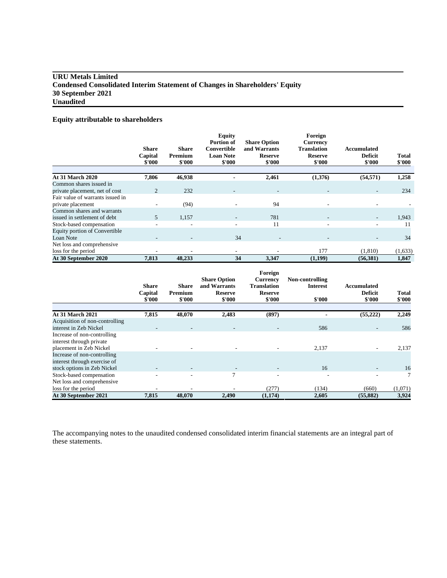# **URU Metals Limited Condensed Consolidated Interim Statement of Changes in Shareholders' Equity 30 September 2021 Unaudited**

# **Equity attributable to shareholders**

|                                  | <b>Share</b><br>Capital<br>\$'000 | <b>Share</b><br>Premium<br>\$'000 | <b>Equity</b><br><b>Portion of</b><br>Convertible<br><b>Loan Note</b><br>\$'000 | <b>Share Option</b><br>and Warrants<br><b>Reserve</b><br>\$'000 | Foreign<br><b>Currency</b><br><b>Translation</b><br><b>Reserve</b><br>\$'000 | Accumulated<br><b>Deficit</b><br>\$'000 | <b>Total</b><br>\$'000 |
|----------------------------------|-----------------------------------|-----------------------------------|---------------------------------------------------------------------------------|-----------------------------------------------------------------|------------------------------------------------------------------------------|-----------------------------------------|------------------------|
|                                  |                                   |                                   |                                                                                 |                                                                 |                                                                              |                                         |                        |
| <b>At 31 March 2020</b>          | 7,806                             | 46,938                            |                                                                                 | 2,461                                                           | (1,376)                                                                      | (54, 571)                               | 1,258                  |
| Common shares issued in          |                                   |                                   |                                                                                 |                                                                 |                                                                              |                                         |                        |
| private placement, net of cost   | $\overline{2}$                    | 232                               |                                                                                 | $\overline{\phantom{0}}$                                        |                                                                              | $\overline{\phantom{a}}$                | 234                    |
| Fair value of warrants issued in |                                   |                                   |                                                                                 |                                                                 |                                                                              |                                         |                        |
| private placement                |                                   | (94)                              |                                                                                 | 94                                                              |                                                                              |                                         |                        |
| Common shares and warrants       |                                   |                                   |                                                                                 |                                                                 |                                                                              |                                         |                        |
| issued in settlement of debt     | 5                                 | 1,157                             |                                                                                 | 781                                                             |                                                                              |                                         | 1,943                  |
| Stock-based compensation         |                                   |                                   | ٠                                                                               | 11                                                              | ۰                                                                            |                                         | 11                     |
| Equity portion of Convertible    |                                   |                                   |                                                                                 |                                                                 |                                                                              |                                         |                        |
| Loan Note                        |                                   |                                   | 34                                                                              |                                                                 |                                                                              |                                         | 34                     |
| Net loss and comprehensive       |                                   |                                   |                                                                                 |                                                                 |                                                                              |                                         |                        |
| loss for the period              |                                   |                                   | ٠                                                                               |                                                                 | 177                                                                          | (1,810)                                 | (1,633)                |
| At 30 September 2020             | 7,813                             | 48,233                            | 34                                                                              | 3,347                                                           | (1,199)                                                                      | (56, 381)                               | 1,847                  |

|                                | <b>Share</b><br>Capital<br>\$'000 | <b>Share</b><br>Premium<br>\$'000 | <b>Share Option</b><br>and Warrants<br><b>Reserve</b><br>\$'000 | Foreign<br><b>Currency</b><br>Translation<br><b>Reserve</b><br>\$'000 | Non-controlling<br><b>Interest</b><br>\$'000 | Accumulated<br><b>Deficit</b><br>\$'000 | Total<br>\$'000 |
|--------------------------------|-----------------------------------|-----------------------------------|-----------------------------------------------------------------|-----------------------------------------------------------------------|----------------------------------------------|-----------------------------------------|-----------------|
| <b>At 31 March 2021</b>        | 7,815                             | 48,070                            | 2,483                                                           | (897)                                                                 |                                              | (55, 222)                               | 2,249           |
| Acquisition of non-controlling |                                   |                                   |                                                                 |                                                                       |                                              |                                         |                 |
| interest in Zeb Nickel         |                                   | $\overline{\phantom{a}}$          |                                                                 | $\overline{\phantom{a}}$                                              | 586                                          | $\overline{\phantom{a}}$                | 586             |
| Increase of non-controlling    |                                   |                                   |                                                                 |                                                                       |                                              |                                         |                 |
| interest through private       |                                   |                                   |                                                                 |                                                                       |                                              |                                         |                 |
| placement in Zeb Nickel        |                                   |                                   |                                                                 |                                                                       | 2,137                                        | ٠                                       | 2,137           |
| Increase of non-controlling    |                                   |                                   |                                                                 |                                                                       |                                              |                                         |                 |
| interest through exercise of   |                                   |                                   |                                                                 |                                                                       |                                              |                                         |                 |
| stock options in Zeb Nickel    |                                   |                                   | $\overline{\phantom{a}}$                                        |                                                                       | 16                                           |                                         | 16              |
| Stock-based compensation       |                                   |                                   | 7                                                               | ۰                                                                     |                                              |                                         | 7               |
| Net loss and comprehensive     |                                   |                                   |                                                                 |                                                                       |                                              |                                         |                 |
| loss for the period            |                                   |                                   |                                                                 | (277)                                                                 | (134)                                        | (660)                                   | (1,071)         |
| At 30 September 2021           | 7,815                             | 48,070                            | 2,490                                                           | (1,174)                                                               | 2,605                                        | (55, 882)                               | 3,924           |

The accompanying notes to the unaudited condensed consolidated interim financial statements are an integral part of these statements.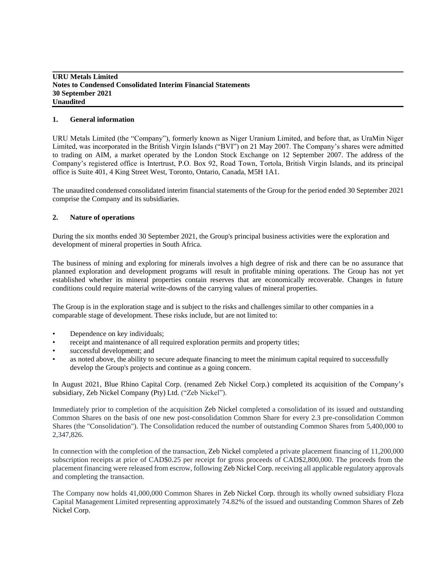# **1. General information**

URU Metals Limited (the "Company"), formerly known as Niger Uranium Limited, and before that, as UraMin Niger Limited, was incorporated in the British Virgin Islands ("BVI") on 21 May 2007. The Company's shares were admitted to trading on AIM, a market operated by the London Stock Exchange on 12 September 2007. The address of the Company's registered office is Intertrust, P.O. Box 92, Road Town, Tortola, British Virgin Islands, and its principal office is Suite 401, 4 King Street West, Toronto, Ontario, Canada, M5H 1A1.

The unaudited condensed consolidated interim financial statements of the Group for the period ended 30 September 2021 comprise the Company and its subsidiaries.

## **2. Nature of operations**

During the six months ended 30 September 2021, the Group's principal business activities were the exploration and development of mineral properties in South Africa.

The business of mining and exploring for minerals involves a high degree of risk and there can be no assurance that planned exploration and development programs will result in profitable mining operations. The Group has not yet established whether its mineral properties contain reserves that are economically recoverable. Changes in future conditions could require material write-downs of the carrying values of mineral properties.

The Group is in the exploration stage and is subject to the risks and challenges similar to other companies in a comparable stage of development. These risks include, but are not limited to:

- Dependence on key individuals;
- receipt and maintenance of all required exploration permits and property titles;
- successful development; and
- as noted above, the ability to secure adequate financing to meet the minimum capital required to successfully develop the Group's projects and continue as a going concern.

In August 2021, Blue Rhino Capital Corp. (renamed Zeb Nickel Corp.) completed its acquisition of the Company's subsidiary, Zeb Nickel Company (Pty) Ltd. ("Zeb Nickel").

Immediately prior to completion of the acquisition Zeb Nickel completed a consolidation of its issued and outstanding Common Shares on the basis of one new post-consolidation Common Share for every 2.3 pre-consolidation Common Shares (the "Consolidation"). The Consolidation reduced the number of outstanding Common Shares from 5,400,000 to 2,347,826.

In connection with the completion of the transaction, Zeb Nickel completed a private placement financing of 11,200,000 subscription receipts at price of CAD\$0.25 per receipt for gross proceeds of CAD\$2,800,000. The proceeds from the placement financing were released from escrow, following Zeb Nickel Corp. receiving all applicable regulatory approvals and completing the transaction.

The Company now holds 41,000,000 Common Shares in Zeb Nickel Corp. through its wholly owned subsidiary Floza Capital Management Limited representing approximately 74.82% of the issued and outstanding Common Shares of Zeb Nickel Corp.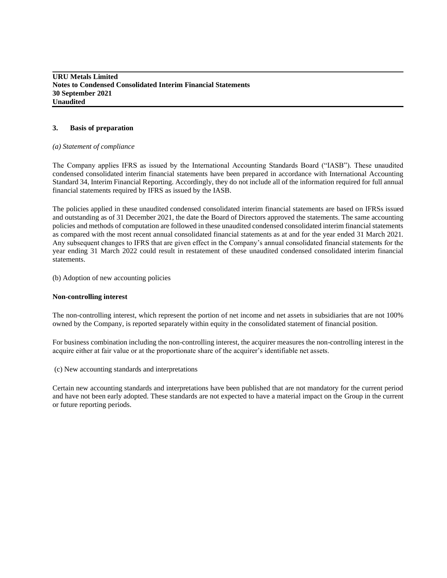## **3. Basis of preparation**

#### *(a) Statement of compliance*

The Company applies IFRS as issued by the International Accounting Standards Board ("IASB"). These unaudited condensed consolidated interim financial statements have been prepared in accordance with International Accounting Standard 34, Interim Financial Reporting. Accordingly, they do not include all of the information required for full annual financial statements required by IFRS as issued by the IASB.

The policies applied in these unaudited condensed consolidated interim financial statements are based on IFRSs issued and outstanding as of 31 December 2021, the date the Board of Directors approved the statements. The same accounting policies and methods of computation are followed in these unaudited condensed consolidated interim financial statements as compared with the most recent annual consolidated financial statements as at and for the year ended 31 March 2021. Any subsequent changes to IFRS that are given effect in the Company's annual consolidated financial statements for the year ending 31 March 2022 could result in restatement of these unaudited condensed consolidated interim financial statements.

(b) Adoption of new accounting policies

#### **Non-controlling interest**

The non-controlling interest, which represent the portion of net income and net assets in subsidiaries that are not 100% owned by the Company, is reported separately within equity in the consolidated statement of financial position.

For business combination including the non-controlling interest, the acquirer measures the non-controlling interest in the acquire either at fair value or at the proportionate share of the acquirer's identifiable net assets.

(c) New accounting standards and interpretations

Certain new accounting standards and interpretations have been published that are not mandatory for the current period and have not been early adopted. These standards are not expected to have a material impact on the Group in the current or future reporting periods.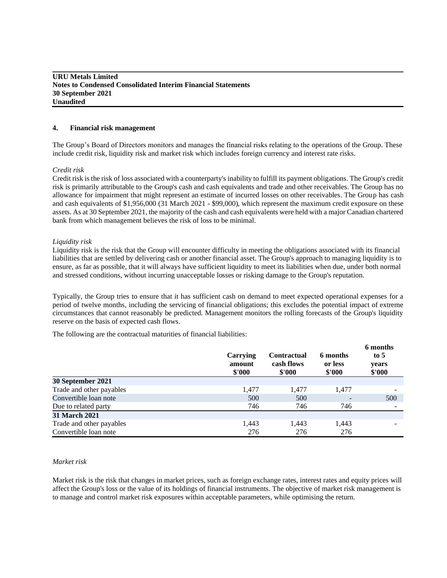#### **4. Financial risk management**

The Group's Board of Directors monitors and manages the financial risks relating to the operations of the Group. These include credit risk, liquidity risk and market risk which includes foreign currency and interest rate risks.

#### *Credit risk*

Credit risk is the risk of loss associated with a counterparty's inability to fulfill its payment obligations. The Group's credit risk is primarily attributable to the Group's cash and cash equivalents and trade and other receivables. The Group has no allowance for impairment that might represent an estimate of incurred losses on other receivables. The Group has cash and cash equivalents of \$1,956,000 (31 March 2021 - \$99,000), which represent the maximum credit exposure on these assets. As at 30September 2021, the majority of the cash and cash equivalents were held with a major Canadian chartered bank from which management believes the risk of loss to be minimal.

#### *Liquidity risk*

Liquidity risk is the risk that the Group will encounter difficulty in meeting the obligations associated with its financial liabilities that are settled by delivering cash or another financial asset. The Group's approach to managing liquidity is to ensure, as far as possible, that it will always have sufficient liquidity to meet its liabilities when due, under both normal and stressed conditions, without incurring unacceptable losses or risking damage to the Group's reputation.

Typically, the Group tries to ensure that it has sufficient cash on demand to meet expected operational expenses for a period of twelve months, including the servicing of financial obligations; this excludes the potential impact of extreme circumstances that cannot reasonably be predicted. Management monitors the rolling forecasts of the Group's liquidity reserve on the basis of expected cash flows.

The following are the contractual maturities of financial liabilities:

|                          | Carrying<br>amount<br>\$'000 | <b>Contractual</b><br>cash flows<br>\$'000 | 6 months<br>or less<br>\$'000 | 6 months<br>to $5$<br>years<br>\$'000 |
|--------------------------|------------------------------|--------------------------------------------|-------------------------------|---------------------------------------|
| 30 September 2021        |                              |                                            |                               |                                       |
| Trade and other payables | 1,477                        | 1,477                                      | 1,477                         |                                       |
| Convertible loan note    | 500                          | 500                                        | $\overline{\phantom{0}}$      | 500                                   |
| Due to related party     | 746                          | 746                                        | 746                           |                                       |
| <b>31 March 2021</b>     |                              |                                            |                               |                                       |
| Trade and other payables | 1,443                        | 1,443                                      | 1,443                         |                                       |
| Convertible loan note    | 276                          | 276                                        | 276                           |                                       |

#### *Market risk*

Market risk is the risk that changes in market prices, such as foreign exchange rates, interest rates and equity prices will affect the Group's loss or the value of its holdings of financial instruments. The objective of market risk management is to manage and control market risk exposures within acceptable parameters, while optimising the return.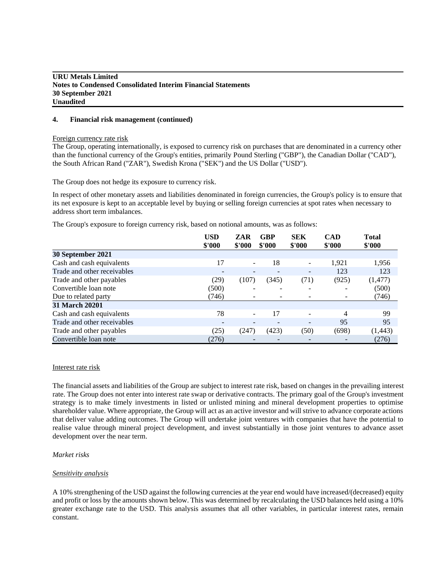#### **4. Financial risk management (continued)**

#### Foreign currency rate risk

The Group, operating internationally, is exposed to currency risk on purchases that are denominated in a currency other than the functional currency of the Group's entities, primarily Pound Sterling ("GBP"), the Canadian Dollar ("CAD"), the South African Rand ("ZAR"), Swedish Krona ("SEK") and the US Dollar ("USD").

The Group does not hedge its exposure to currency risk.

In respect of other monetary assets and liabilities denominated in foreign currencies, the Group's policy is to ensure that its net exposure is kept to an acceptable level by buying or selling foreign currencies at spot rates when necessary to address short term imbalances.

The Group's exposure to foreign currency risk, based on notional amounts, was as follows:

|                             | <b>USD</b>               | ZAR                      | <b>GBP</b><br>\$'000 | <b>SEK</b>               | <b>CAD</b> | <b>Total</b> |
|-----------------------------|--------------------------|--------------------------|----------------------|--------------------------|------------|--------------|
|                             | \$'000                   | \$'000                   |                      | \$'000                   | \$'000     | \$'000       |
| 30 September 2021           |                          |                          |                      |                          |            |              |
| Cash and cash equivalents   | 17                       | $\overline{\phantom{a}}$ | 18                   | $\overline{\phantom{a}}$ | 1,921      | 1,956        |
| Trade and other receivables | $\overline{\phantom{a}}$ |                          |                      | $\overline{\phantom{a}}$ | 123        | 123          |
| Trade and other payables    | (29)                     | (107)                    | (345)                | (71)                     | (925)      | (1, 477)     |
| Convertible loan note       | (500)                    |                          |                      |                          |            | (500)        |
| Due to related party        | (746)                    |                          | -                    |                          |            | (746)        |
| <b>31 March 20201</b>       |                          |                          |                      |                          |            |              |
| Cash and cash equivalents   | 78                       |                          | 17                   |                          | 4          | 99           |
| Trade and other receivables |                          |                          |                      |                          | 95         | 95           |
| Trade and other payables    | (25)                     | (247)                    | (423)                | (50)                     | (698)      | (1, 443)     |
| Convertible loan note       | (276)                    |                          |                      |                          |            | (276)        |

#### Interest rate risk

The financial assets and liabilities of the Group are subject to interest rate risk, based on changes in the prevailing interest rate. The Group does not enter into interest rate swap or derivative contracts. The primary goal of the Group's investment strategy is to make timely investments in listed or unlisted mining and mineral development properties to optimise shareholder value. Where appropriate, the Group will act as an active investor and will strive to advance corporate actions that deliver value adding outcomes. The Group will undertake joint ventures with companies that have the potential to realise value through mineral project development, and invest substantially in those joint ventures to advance asset development over the near term.

#### *Market risks*

#### *Sensitivity analysis*

A 10% strengthening of the USD against the following currencies at the year end would have increased/(decreased) equity and profit or loss by the amounts shown below. This was determined by recalculating the USD balances held using a 10% greater exchange rate to the USD. This analysis assumes that all other variables, in particular interest rates, remain constant.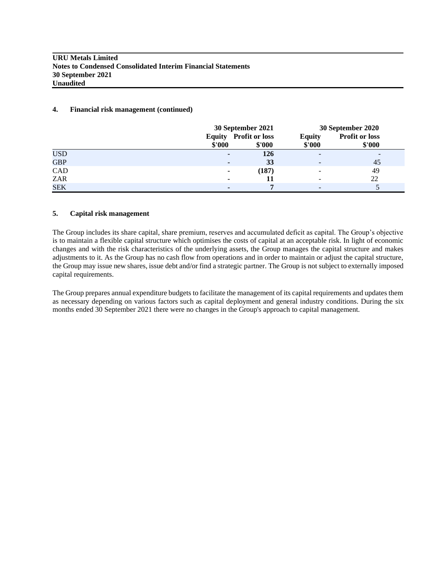## **4. Financial risk management (continued)**

|            |                | 30 September 2021                      |                         | 30 September 2020               |
|------------|----------------|----------------------------------------|-------------------------|---------------------------------|
|            | \$'000         | <b>Equity</b> Profit or loss<br>\$'000 | <b>Equity</b><br>\$'000 | <b>Profit or loss</b><br>\$'000 |
| <b>USD</b> | $\blacksquare$ | 126                                    |                         | ٠                               |
| <b>GBP</b> | ٠              | 33                                     |                         | 45                              |
| CAD        | $\blacksquare$ | (187)                                  |                         | 49                              |
| ZAR        | ٠              | 11                                     |                         | 22                              |
| <b>SEK</b> |                | -                                      |                         |                                 |

## **5. Capital risk management**

The Group includes its share capital, share premium, reserves and accumulated deficit as capital. The Group's objective is to maintain a flexible capital structure which optimises the costs of capital at an acceptable risk. In light of economic changes and with the risk characteristics of the underlying assets, the Group manages the capital structure and makes adjustments to it. As the Group has no cash flow from operations and in order to maintain or adjust the capital structure, the Group may issue new shares, issue debt and/or find a strategic partner. The Group is not subject to externally imposed capital requirements.

The Group prepares annual expenditure budgets to facilitate the management of its capital requirements and updates them as necessary depending on various factors such as capital deployment and general industry conditions. During the six months ended 30 September 2021 there were no changes in the Group's approach to capital management.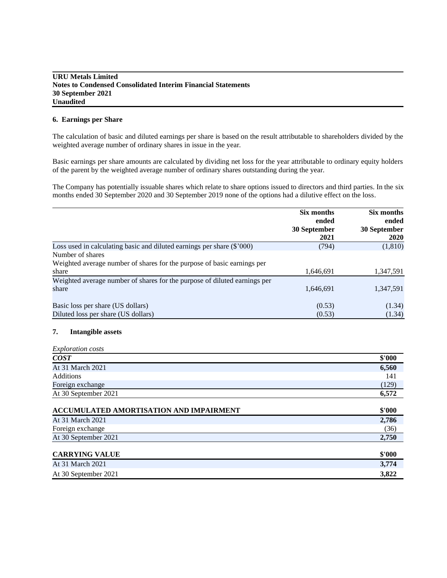## **6. Earnings per Share**

The calculation of basic and diluted earnings per share is based on the result attributable to shareholders divided by the weighted average number of ordinary shares in issue in the year.

Basic earnings per share amounts are calculated by dividing net loss for the year attributable to ordinary equity holders of the parent by the weighted average number of ordinary shares outstanding during the year.

The Company has potentially issuable shares which relate to share options issued to directors and third parties. In the six months ended 30 September 2020 and 30 September 2019 none of the options had a dilutive effect on the loss.

|                                                                           | Six months   | Six months   |  |
|---------------------------------------------------------------------------|--------------|--------------|--|
|                                                                           | ended        | ended        |  |
|                                                                           | 30 September | 30 September |  |
|                                                                           | 2021         | <b>2020</b>  |  |
| Loss used in calculating basic and diluted earnings per share $(\$'000)$  | (794)        | (1, 810)     |  |
| Number of shares                                                          |              |              |  |
| Weighted average number of shares for the purpose of basic earnings per   |              |              |  |
| share                                                                     | 1,646,691    | 1,347,591    |  |
| Weighted average number of shares for the purpose of diluted earnings per |              |              |  |
| share                                                                     | 1,646,691    | 1,347,591    |  |
| Basic loss per share (US dollars)                                         | (0.53)       | (1.34)       |  |
| Diluted loss per share (US dollars)                                       | (0.53)       | (1.34)       |  |

# **7. Intangible assets**

| <i>Exploration costs</i> |        |
|--------------------------|--------|
| <b>COST</b>              | \$'000 |
| At 31 March 2021         | 6,560  |
| Additions                | 141    |
| Foreign exchange         | (129)  |
| At 30 September 2021     | 6,572  |

| ACCUMULATED AMORTISATION AND IMPAIRMENT | \$'000 |
|-----------------------------------------|--------|
| At 31 March 2021                        | 2,786  |
| Foreign exchange                        | (36)   |
| At 30 September 2021                    | 2,750  |
|                                         |        |
| <b>CARRYING VALUE</b>                   | \$'000 |
| $A + 21 B$ , $A - 1$ , $2021$           | 2.774  |

| At 31 March 2021     | 774<br>$\sim$ |
|----------------------|---------------|
| At 30 September 2021 | 3.822         |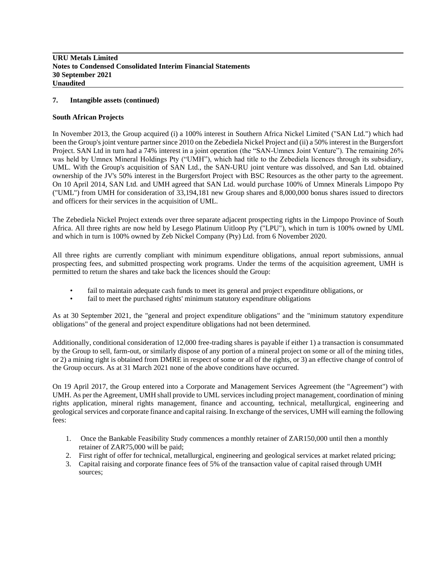## **7. Intangible assets (continued)**

#### **South African Projects**

In November 2013, the Group acquired (i) a 100% interest in Southern Africa Nickel Limited ("SAN Ltd.") which had been the Group's joint venture partner since 2010 on the Zebediela Nickel Project and (ii) a 50% interest in the Burgersfort Project. SAN Ltd in turn had a 74% interest in a joint operation (the "SAN-Umnex Joint Venture"). The remaining 26% was held by Umnex Mineral Holdings Pty ("UMH"), which had title to the Zebediela licences through its subsidiary, UML. With the Group's acquisition of SAN Ltd., the SAN-URU joint venture was dissolved, and San Ltd. obtained ownership of the JV's 50% interest in the Burgersfort Project with BSC Resources as the other party to the agreement. On 10 April 2014, SAN Ltd. and UMH agreed that SAN Ltd. would purchase 100% of Umnex Minerals Limpopo Pty ("UML") from UMH for consideration of 33,194,181 new Group shares and 8,000,000 bonus shares issued to directors and officers for their services in the acquisition of UML.

The Zebediela Nickel Project extends over three separate adjacent prospecting rights in the Limpopo Province of South Africa. All three rights are now held by Lesego Platinum Uitloop Pty ("LPU"), which in turn is 100% owned by UML and which in turn is 100% owned by Zeb Nickel Company (Pty) Ltd. from 6 November 2020.

All three rights are currently compliant with minimum expenditure obligations, annual report submissions, annual prospecting fees, and submitted prospecting work programs. Under the terms of the acquisition agreement, UMH is permitted to return the shares and take back the licences should the Group:

- fail to maintain adequate cash funds to meet its general and project expenditure obligations, or
- fail to meet the purchased rights' minimum statutory expenditure obligations

As at 30 September 2021, the "general and project expenditure obligations" and the "minimum statutory expenditure obligations" of the general and project expenditure obligations had not been determined.

Additionally, conditional consideration of 12,000 free-trading shares is payable if either 1) a transaction is consummated by the Group to sell, farm-out, or similarly dispose of any portion of a mineral project on some or all of the mining titles, or 2) a mining right is obtained from DMRE in respect of some or all of the rights, or 3) an effective change of control of the Group occurs. As at 31 March 2021 none of the above conditions have occurred.

On 19 April 2017, the Group entered into a Corporate and Management Services Agreement (the "Agreement") with UMH. As per the Agreement, UMH shall provide to UML services including project management, coordination of mining rights application, mineral rights management, finance and accounting, technical, metallurgical, engineering and geological services and corporate finance and capital raising. In exchange of the services, UMH will earning the following fees:

- 1. Once the Bankable Feasibility Study commences a monthly retainer of ZAR150,000 until then a monthly retainer of ZAR75,000 will be paid;
- 2. First right of offer for technical, metallurgical, engineering and geological services at market related pricing;
- 3. Capital raising and corporate finance fees of 5% of the transaction value of capital raised through UMH sources;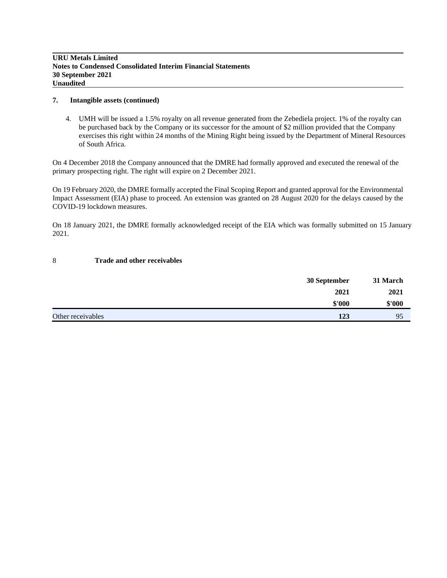#### **7. Intangible assets (continued)**

4. UMH will be issued a 1.5% royalty on all revenue generated from the Zebediela project. 1% of the royalty can be purchased back by the Company or its successor for the amount of \$2 million provided that the Company exercises this right within 24 months of the Mining Right being issued by the Department of Mineral Resources of South Africa.

On 4 December 2018 the Company announced that the DMRE had formally approved and executed the renewal of the primary prospecting right. The right will expire on 2 December 2021.

On 19 February 2020, the DMRE formally accepted the Final Scoping Report and granted approval for the Environmental Impact Assessment (EIA) phase to proceed. An extension was granted on 28 August 2020 for the delays caused by the COVID-19 lockdown measures.

On 18 January 2021, the DMRE formally acknowledged receipt of the EIA which was formally submitted on 15 January 2021.

## 8 **Trade and other receivables**

|                   | 30 September | 31 March |
|-------------------|--------------|----------|
|                   | 2021         | 2021     |
|                   | \$'000       | \$'000   |
| Other receivables | 123          | 95       |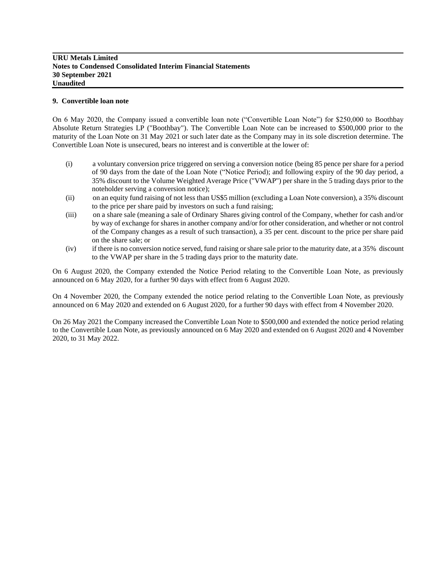# **9. Convertible loan note**

On 6 May 2020, the Company issued a convertible loan note ("Convertible Loan Note") for \$250,000 to Boothbay Absolute Return Strategies LP ("Boothbay"). The Convertible Loan Note can be increased to \$500,000 prior to the maturity of the Loan Note on 31 May 2021 or such later date as the Company may in its sole discretion determine. The Convertible Loan Note is unsecured, bears no interest and is convertible at the lower of:

- (i) a voluntary conversion price triggered on serving a conversion notice (being 85 pence per share for a period of 90 days from the date of the Loan Note ("Notice Period); and following expiry of the 90 day period, a 35% discount to the Volume Weighted Average Price ("VWAP") per share in the 5 trading days prior to the noteholder serving a conversion notice);
- (ii) on an equity fund raising of not less than US\$5 million (excluding a Loan Note conversion), a 35% discount to the price per share paid by investors on such a fund raising;
- (iii) on a share sale (meaning a sale of Ordinary Shares giving control of the Company, whether for cash and/or by way of exchange for shares in another company and/or for other consideration, and whether or not control of the Company changes as a result of such transaction), a 35 per cent. discount to the price per share paid on the share sale; or
- (iv) if there is no conversion notice served, fund raising or share sale prior to the maturity date, at a 35% discount to the VWAP per share in the 5 trading days prior to the maturity date.

On 6 August 2020, the Company extended the Notice Period relating to the Convertible Loan Note, as previously announced on 6 May 2020, for a further 90 days with effect from 6 August 2020.

On 4 November 2020, the Company extended the notice period relating to the Convertible Loan Note, as previously announced on 6 May 2020 and extended on 6 August 2020, for a further 90 days with effect from 4 November 2020.

On 26 May 2021 the Company increased the Convertible Loan Note to \$500,000 and extended the notice period relating to the Convertible Loan Note, as previously announced on 6 May 2020 and extended on 6 August 2020 and 4 November 2020, to 31 May 2022.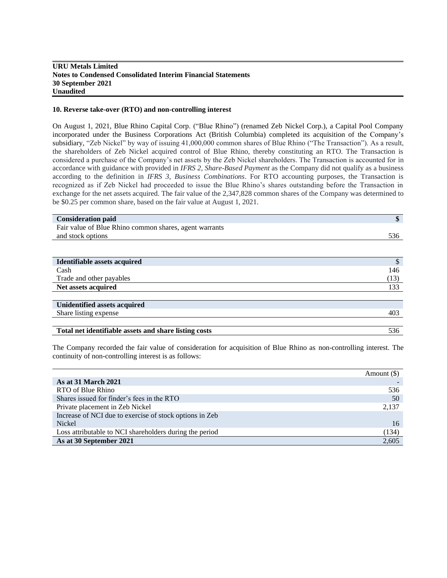### **10. Reverse take-over (RTO) and non-controlling interest**

On August 1, 2021, Blue Rhino Capital Corp. ("Blue Rhino") (renamed Zeb Nickel Corp.), a Capital Pool Company incorporated under the Business Corporations Act (British Columbia) completed its acquisition of the Company's subsidiary, "Zeb Nickel" by way of issuing 41,000,000 common shares of Blue Rhino ("The Transaction"). As a result, the shareholders of Zeb Nickel acquired control of Blue Rhino, thereby constituting an RTO. The Transaction is considered a purchase of the Company's net assets by the Zeb Nickel shareholders. The Transaction is accounted for in accordance with guidance with provided in *IFRS 2, Share-Based Payment* as the Company did not qualify as a business according to the definition in *IFRS 3, Business Combinations*. For RTO accounting purposes, the Transaction is recognized as if Zeb Nickel had proceeded to issue the Blue Rhino's shares outstanding before the Transaction in exchange for the net assets acquired. The fair value of the 2,347,828 common shares of the Company was determined to be \$0.25 per common share, based on the fair value at August 1, 2021.

| <b>Consideration paid</b>                              | \$            |
|--------------------------------------------------------|---------------|
| Fair value of Blue Rhino common shares, agent warrants |               |
| and stock options                                      | 536           |
|                                                        |               |
|                                                        |               |
| Identifiable assets acquired                           | $\mathcal{S}$ |
| Cash                                                   | 146           |
| Trade and other payables                               | (13)          |
| Net assets acquired                                    | 133           |
|                                                        |               |
| <b>Unidentified assets acquired</b>                    |               |
| Share listing expense                                  | 403           |
|                                                        |               |
| Total net identifiable assets and share listing costs  | 536           |

The Company recorded the fair value of consideration for acquisition of Blue Rhino as non-controlling interest. The continuity of non-controlling interest is as follows:

|                                                         | Amount $(\$)$ |
|---------------------------------------------------------|---------------|
| <b>As at 31 March 2021</b>                              |               |
| RTO of Blue Rhino                                       | 536           |
| Shares issued for finder's fees in the RTO              | 50            |
| Private placement in Zeb Nickel                         | 2,137         |
| Increase of NCI due to exercise of stock options in Zeb |               |
| Nickel                                                  | 16            |
| Loss attributable to NCI shareholders during the period | (134)         |
| As at 30 September 2021                                 | 2,605         |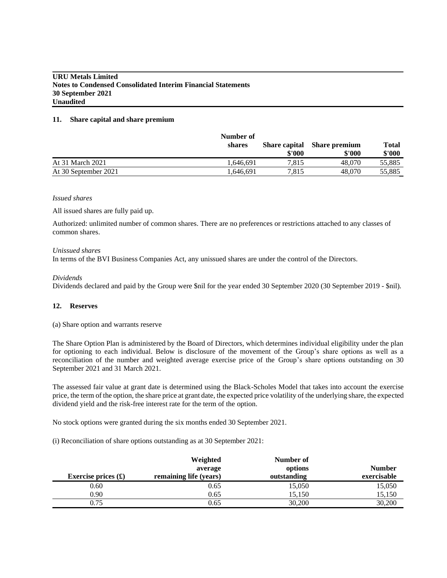#### **11. Share capital and share premium**

|                      | Number of |                                |                                |                 |
|----------------------|-----------|--------------------------------|--------------------------------|-----------------|
|                      | shares    | <b>Share capital</b><br>\$'000 | <b>Share premium</b><br>\$'000 | Total<br>\$'000 |
| At 31 March 2021     | 1.646.691 | 7.815                          | 48.070                         | 55,885          |
| At 30 September 2021 | .646.691  | 7.815                          | 48,070                         | 55,885          |

#### *Issued shares*

All issued shares are fully paid up.

Authorized: unlimited number of common shares. There are no preferences or restrictions attached to any classes of common shares.

#### *Unissued shares*

In terms of the BVI Business Companies Act, any unissued shares are under the control of the Directors.

## *Dividends*

Dividends declared and paid by the Group were \$nil for the year ended 30 September 2020 (30 September 2019 - \$nil).

# **12. Reserves**

#### (a) Share option and warrants reserve

The Share Option Plan is administered by the Board of Directors, which determines individual eligibility under the plan for optioning to each individual. Below is disclosure of the movement of the Group's share options as well as a reconciliation of the number and weighted average exercise price of the Group's share options outstanding on 30 September 2021 and 31 March 2021.

The assessed fair value at grant date is determined using the Black-Scholes Model that takes into account the exercise price, the term of the option, the share price at grant date, the expected price volatility of the underlying share, the expected dividend yield and the risk-free interest rate for the term of the option.

No stock options were granted during the six months ended 30 September 2021.

(i) Reconciliation of share options outstanding as at 30 September 2021:

| Exercise prices $(\pounds)$ | Weighted<br>average<br>remaining life (years) | Number of<br>options<br>outstanding | <b>Number</b><br>exercisable |
|-----------------------------|-----------------------------------------------|-------------------------------------|------------------------------|
| 0.60                        | 0.65                                          | 15,050                              | 15,050                       |
| 0.90                        | 0.65                                          | 15.150                              | 15,150                       |
| 0.75                        | 0.65                                          | 30,200                              | 30,200                       |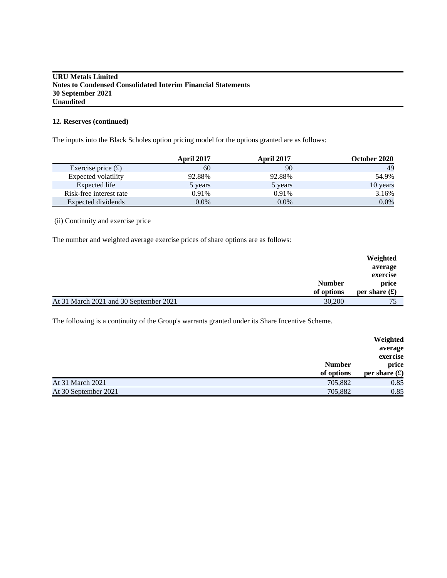# **12. Reserves (continued)**

The inputs into the Black Scholes option pricing model for the options granted are as follows:

|                         | <b>April 2017</b> | <b>April 2017</b> | October 2020 |
|-------------------------|-------------------|-------------------|--------------|
| Exercise price $(f)$    | 60                | 90                | 49           |
| Expected volatility     | 92.88%            | 92.88%            | 54.9%        |
| Expected life           | 5 years           | 5 years           | 10 years     |
| Risk-free interest rate | 0.91%             | 0.91%             | 3.16%        |
| Expected dividends      | $0.0\%$           | $0.0\%$           | $0.0\%$      |

(ii) Continuity and exercise price

The number and weighted average exercise prices of share options are as follows:

|                                        |               | Weighted                 |
|----------------------------------------|---------------|--------------------------|
|                                        |               | average                  |
|                                        |               | exercise                 |
|                                        | <b>Number</b> | price                    |
|                                        | of options    | per share $(\mathbf{f})$ |
| At 31 March 2021 and 30 September 2021 | 30,200        | 75                       |

The following is a continuity of the Group's warrants granted under its Share Incentive Scheme.

|                      | <b>Number</b><br>of options | exercise<br>price<br>per share $(\mathbf{\hat{f}})$ |
|----------------------|-----------------------------|-----------------------------------------------------|
| At 31 March 2021     | 705,882                     | 0.85                                                |
| At 30 September 2021 | 705,882                     | 0.85                                                |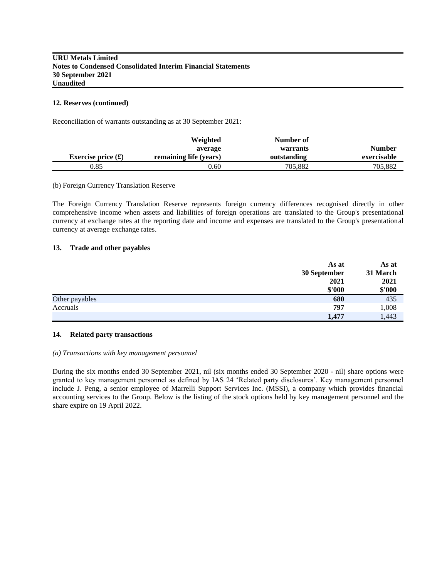#### **12. Reserves (continued)**

Reconciliation of warrants outstanding as at 30 September 2021:

|                            | Weighted               | Number of   |               |
|----------------------------|------------------------|-------------|---------------|
|                            | average                | warrants    | <b>Number</b> |
| Exercise price $(\pounds)$ | remaining life (years) | outstanding | exercisable   |
| 0.85                       | 0.60                   | 705.882     | 705,882       |

#### (b) Foreign Currency Translation Reserve

The Foreign Currency Translation Reserve represents foreign currency differences recognised directly in other comprehensive income when assets and liabilities of foreign operations are translated to the Group's presentational currency at exchange rates at the reporting date and income and expenses are translated to the Group's presentational currency at average exchange rates.

#### **13. Trade and other payables**

|                | As at<br>30 September<br>2021 | As at<br>31 March<br>2021 |
|----------------|-------------------------------|---------------------------|
|                | \$'000                        | \$'000                    |
| Other payables | 680                           | 435                       |
| Accruals       | 797                           | 1,008                     |
|                | 1,477                         | 1,443                     |

#### **14. Related party transactions**

#### *(a) Transactions with key management personnel*

During the six months ended 30 September 2021, nil (six months ended 30 September 2020 - nil) share options were granted to key management personnel as defined by IAS 24 'Related party disclosures'. Key management personnel include J. Peng, a senior employee of Marrelli Support Services Inc. (MSSI), a company which provides financial accounting services to the Group. Below is the listing of the stock options held by key management personnel and the share expire on 19 April 2022.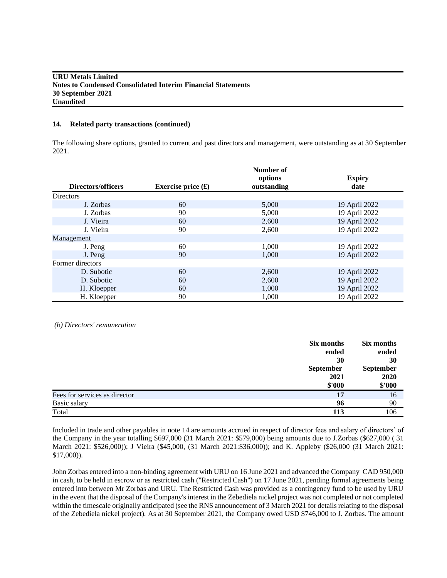#### **14. Related party transactions (continued)**

The following share options, granted to current and past directors and management, were outstanding as at 30 September 2021.

|                    |                            | Number of<br>options | <b>Expiry</b> |
|--------------------|----------------------------|----------------------|---------------|
| Directors/officers | Exercise price $(\pounds)$ | outstanding          | date          |
| <b>Directors</b>   |                            |                      |               |
| J. Zorbas          | 60                         | 5,000                | 19 April 2022 |
| J. Zorbas          | 90                         | 5,000                | 19 April 2022 |
| J. Vieira          | 60                         | 2,600                | 19 April 2022 |
| J. Vieira          | 90                         | 2,600                | 19 April 2022 |
| Management         |                            |                      |               |
| J. Peng            | 60                         | 1,000                | 19 April 2022 |
| J. Peng            | 90                         | 1,000                | 19 April 2022 |
| Former directors   |                            |                      |               |
| D. Subotic         | 60                         | 2,600                | 19 April 2022 |
| D. Subotic         | 60                         | 2,600                | 19 April 2022 |
| H. Kloepper        | 60                         | 1,000                | 19 April 2022 |
| H. Kloepper        | 90                         | 1,000                | 19 April 2022 |

*(b) Directors' remuneration*

|                               | Six months       | Six months |
|-------------------------------|------------------|------------|
|                               | ended            | ended      |
|                               | 30               | 30         |
|                               | <b>September</b> | September  |
|                               | 2021             | 2020       |
|                               | \$'000           | \$'000     |
| Fees for services as director | 17               | 16         |
| Basic salary                  | 96               | 90         |
| Total                         | 113              | 106        |

Included in trade and other payables in note 14 are amounts accrued in respect of director fees and salary of directors' of the Company in the year totalling \$697,000 (31 March 2021: \$579,000) being amounts due to J.Zorbas (\$627,000 ( 31 March 2021: \$526,000)); J Vieira (\$45,000, (31 March 2021:\$36,000)); and K. Appleby (\$26,000 (31 March 2021: \$17,000)).

John Zorbas entered into a non-binding agreement with URU on 16 June 2021 and advanced the Company CAD 950,000 in cash, to be held in escrow or as restricted cash ("Restricted Cash") on 17 June 2021, pending formal agreements being entered into between Mr Zorbas and URU. The Restricted Cash was provided as a contingency fund to be used by URU in the event that the disposal of the Company's interest in the Zebediela nickel project was not completed or not completed within the timescale originally anticipated (see the RNS announcement of 3 March 2021 for details relating to the disposal of the Zebediela nickel project). As at 30 September 2021, the Company owed USD \$746,000 to J. Zorbas. The amount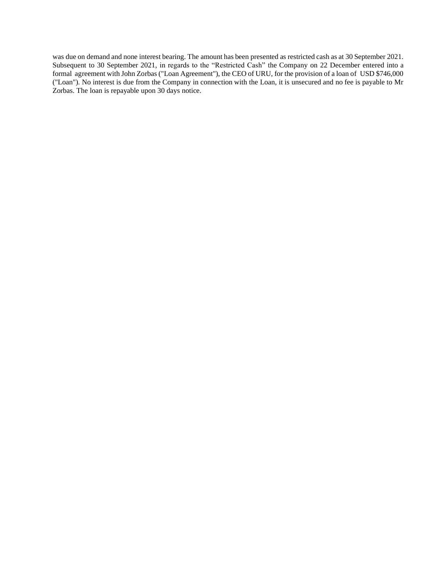was due on demand and none interest bearing. The amount has been presented as restricted cash as at 30 September 2021. Subsequent to 30 September 2021, in regards to the "Restricted Cash" the Company on 22 December entered into a formal agreement with John Zorbas ("Loan Agreement"), the CEO of URU, for the provision of a loan of USD \$746,000 ("Loan"). No interest is due from the Company in connection with the Loan, it is unsecured and no fee is payable to Mr Zorbas. The loan is repayable upon 30 days notice.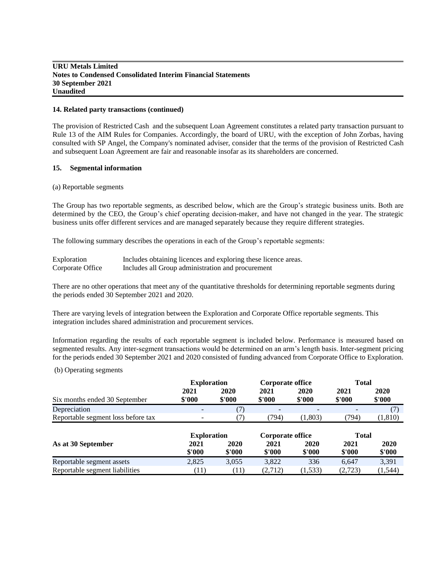#### **14. Related party transactions (continued)**

The provision of Restricted Cash and the subsequent Loan Agreement constitutes a related party transaction pursuant to Rule 13 of the AIM Rules for Companies. Accordingly, the board of URU, with the exception of John Zorbas, having consulted with SP Angel, the Company's nominated adviser, consider that the terms of the provision of Restricted Cash and subsequent Loan Agreement are fair and reasonable insofar as its shareholders are concerned.

# **15. Segmental information**

#### (a) Reportable segments

The Group has two reportable segments, as described below, which are the Group's strategic business units. Both are determined by the CEO, the Group's chief operating decision-maker, and have not changed in the year. The strategic business units offer different services and are managed separately because they require different strategies.

The following summary describes the operations in each of the Group's reportable segments:

| Exploration      | Includes obtaining licences and exploring these licence areas. |
|------------------|----------------------------------------------------------------|
| Corporate Office | Includes all Group administration and procurement              |

There are no other operations that meet any of the quantitative thresholds for determining reportable segments during the periods ended 30 September 2021 and 2020.

There are varying levels of integration between the Exploration and Corporate Office reportable segments. This integration includes shared administration and procurement services.

Information regarding the results of each reportable segment is included below. Performance is measured based on segmented results. Any inter-segment transactions would be determined on an arm's length basis. Inter-segment pricing for the periods ended 30 September 2021 and 2020 consisted of funding advanced from Corporate Office to Exploration.

(b) Operating segments

|                                    | <b>Exploration</b>                     |                | Corporate office |                | Total          |                |
|------------------------------------|----------------------------------------|----------------|------------------|----------------|----------------|----------------|
| Six months ended 30 September      | 2021<br>\$'000                         | 2020<br>\$'000 | 2021<br>\$'000   | 2020<br>\$'000 | 2021<br>\$'000 | 2020<br>\$'000 |
| Depreciation                       |                                        | (7)            |                  |                |                | (7)            |
| Reportable segment loss before tax |                                        | (7)            | (794)            | (1,803)        | (794)          | (1,810)        |
|                                    | <b>Exploration</b><br>Corporate office |                |                  | <b>Total</b>   |                |                |
|                                    |                                        |                |                  |                |                |                |
| As at 30 September                 | 2021<br>\$'000                         | 2020<br>\$'000 | 2021<br>\$'000   | 2020<br>\$'000 | 2021<br>\$'000 | 2020<br>\$'000 |
| Reportable segment assets          | 2,825                                  | 3,055          | 3.822            | 336            | 6.647          | 3,391          |